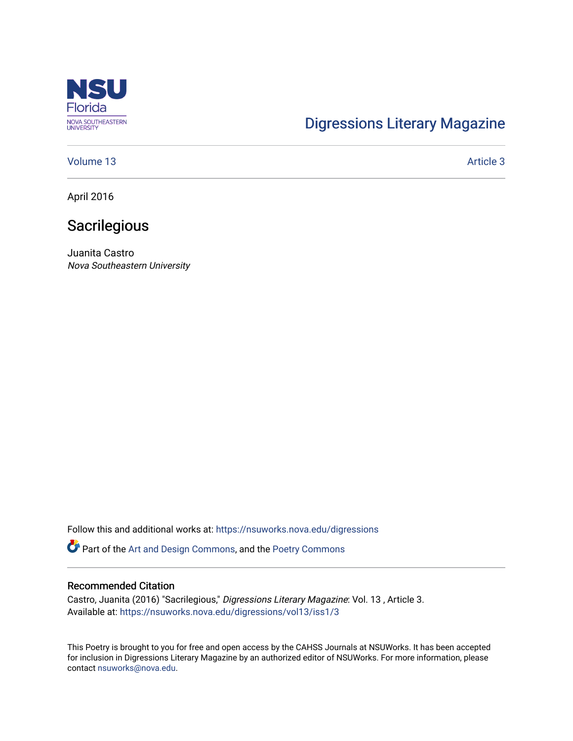

# [Digressions Literary Magazine](https://nsuworks.nova.edu/digressions)

### [Volume 13](https://nsuworks.nova.edu/digressions/vol13) Article 3

April 2016

## **Sacrilegious**

Juanita Castro Nova Southeastern University

Follow this and additional works at: [https://nsuworks.nova.edu/digressions](https://nsuworks.nova.edu/digressions?utm_source=nsuworks.nova.edu%2Fdigressions%2Fvol13%2Fiss1%2F3&utm_medium=PDF&utm_campaign=PDFCoverPages) 

Part of the [Art and Design Commons](http://network.bepress.com/hgg/discipline/1049?utm_source=nsuworks.nova.edu%2Fdigressions%2Fvol13%2Fiss1%2F3&utm_medium=PDF&utm_campaign=PDFCoverPages), and the [Poetry Commons](http://network.bepress.com/hgg/discipline/1153?utm_source=nsuworks.nova.edu%2Fdigressions%2Fvol13%2Fiss1%2F3&utm_medium=PDF&utm_campaign=PDFCoverPages) 

### Recommended Citation

Castro, Juanita (2016) "Sacrilegious," Digressions Literary Magazine: Vol. 13 , Article 3. Available at: [https://nsuworks.nova.edu/digressions/vol13/iss1/3](https://nsuworks.nova.edu/digressions/vol13/iss1/3?utm_source=nsuworks.nova.edu%2Fdigressions%2Fvol13%2Fiss1%2F3&utm_medium=PDF&utm_campaign=PDFCoverPages) 

This Poetry is brought to you for free and open access by the CAHSS Journals at NSUWorks. It has been accepted for inclusion in Digressions Literary Magazine by an authorized editor of NSUWorks. For more information, please contact [nsuworks@nova.edu.](mailto:nsuworks@nova.edu)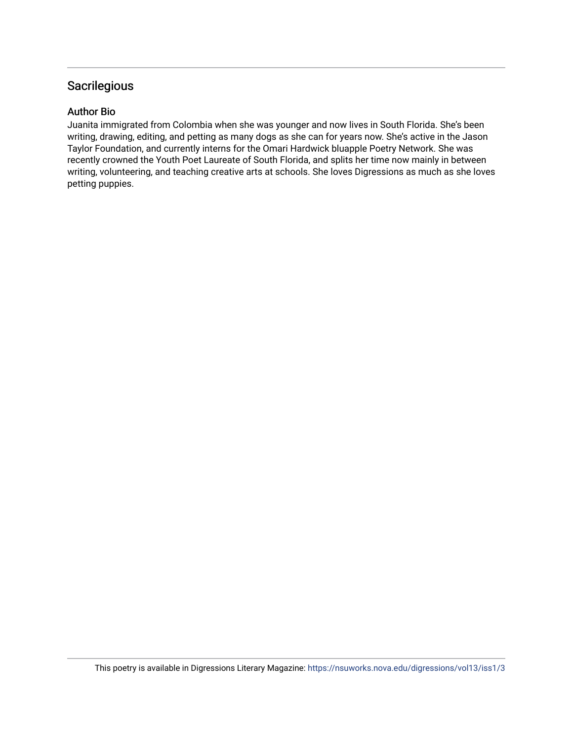## **Sacrilegious**

### Author Bio

Juanita immigrated from Colombia when she was younger and now lives in South Florida. She's been writing, drawing, editing, and petting as many dogs as she can for years now. She's active in the Jason Taylor Foundation, and currently interns for the Omari Hardwick bluapple Poetry Network. She was recently crowned the Youth Poet Laureate of South Florida, and splits her time now mainly in between writing, volunteering, and teaching creative arts at schools. She loves Digressions as much as she loves petting puppies.